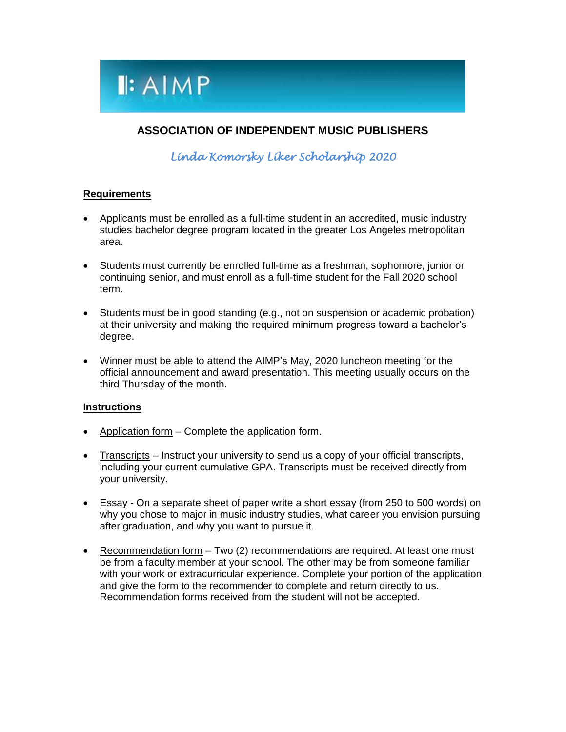

### **ASSOCIATION OF INDEPENDENT MUSIC PUBLISHERS**

*Linda Komorsky Liker Scholarship 2020* 

#### **Requirements**

- Applicants must be enrolled as a full-time student in an accredited, music industry studies bachelor degree program located in the greater Los Angeles metropolitan area.
- Students must currently be enrolled full-time as a freshman, sophomore, junior or continuing senior, and must enroll as a full-time student for the Fall 2020 school term.
- Students must be in good standing (e.g., not on suspension or academic probation) at their university and making the required minimum progress toward a bachelor's degree.
- Winner must be able to attend the AIMP's May, 2020 luncheon meeting for the official announcement and award presentation. This meeting usually occurs on the third Thursday of the month.

#### **Instructions**

- Application form  $-$  Complete the application form.
- Transcripts Instruct your university to send us a copy of your official transcripts, including your current cumulative GPA. Transcripts must be received directly from your university.
- **Essay** On a separate sheet of paper write a short essay (from 250 to 500 words) on why you chose to major in music industry studies, what career you envision pursuing after graduation, and why you want to pursue it.
- Recommendation form Two (2) recommendations are required. At least one must be from a faculty member at your school. The other may be from someone familiar with your work or extracurricular experience. Complete your portion of the application and give the form to the recommender to complete and return directly to us. Recommendation forms received from the student will not be accepted.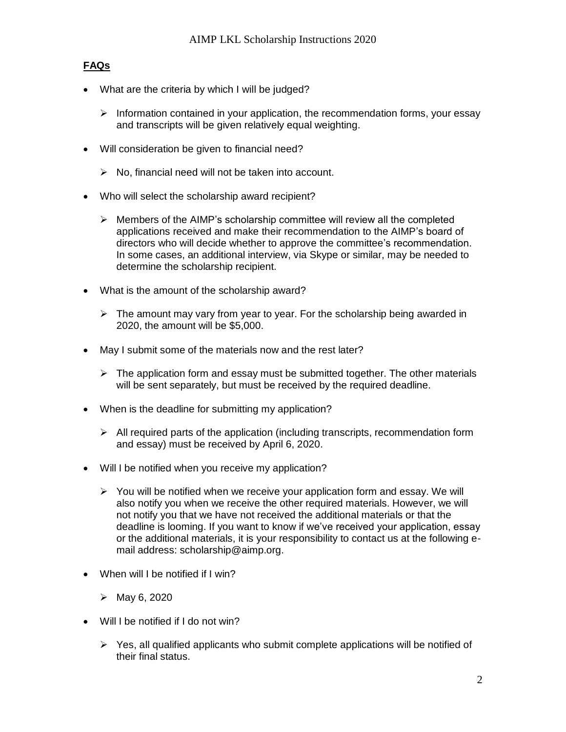### **FAQs**

- What are the criteria by which I will be judged?
	- $\triangleright$  Information contained in your application, the recommendation forms, your essay and transcripts will be given relatively equal weighting.
- Will consideration be given to financial need?
	- $\triangleright$  No, financial need will not be taken into account.
- Who will select the scholarship award recipient?
	- $\triangleright$  Members of the AIMP's scholarship committee will review all the completed applications received and make their recommendation to the AIMP's board of directors who will decide whether to approve the committee's recommendation. In some cases, an additional interview, via Skype or similar, may be needed to determine the scholarship recipient.
- What is the amount of the scholarship award?
	- $\triangleright$  The amount may vary from year to year. For the scholarship being awarded in 2020, the amount will be \$5,000.
- May I submit some of the materials now and the rest later?
	- $\triangleright$  The application form and essay must be submitted together. The other materials will be sent separately, but must be received by the required deadline.
- When is the deadline for submitting my application?
	- $\triangleright$  All required parts of the application (including transcripts, recommendation form and essay) must be received by April 6, 2020.
- Will I be notified when you receive my application?
	- $\triangleright$  You will be notified when we receive your application form and essay. We will also notify you when we receive the other required materials. However, we will not notify you that we have not received the additional materials or that the deadline is looming. If you want to know if we've received your application, essay or the additional materials, it is your responsibility to contact us at the following email address: scholarship@aimp.org.
- When will I be notified if I win?
	- May 6, 2020
- Will I be notified if I do not win?
	- $\triangleright$  Yes, all qualified applicants who submit complete applications will be notified of their final status.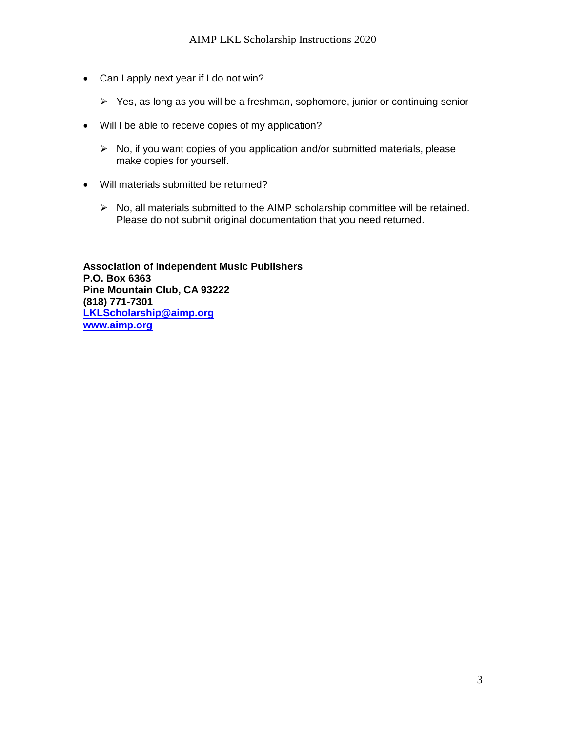- Can I apply next year if I do not win?
	- $\triangleright$  Yes, as long as you will be a freshman, sophomore, junior or continuing senior
- Will I be able to receive copies of my application?
	- $\triangleright$  No, if you want copies of you application and/or submitted materials, please make copies for yourself.
- Will materials submitted be returned?
	- $\triangleright$  No, all materials submitted to the AIMP scholarship committee will be retained. Please do not submit original documentation that you need returned.

**Association of Independent Music Publishers P.O. Box 6363 Pine Mountain Club, CA 93222 (818) 771-7301 [LKLScholarship@aimp.org](mailto:LKLScholarship@aimp.org) [www.aimp.org](http://www.aimp.org/)**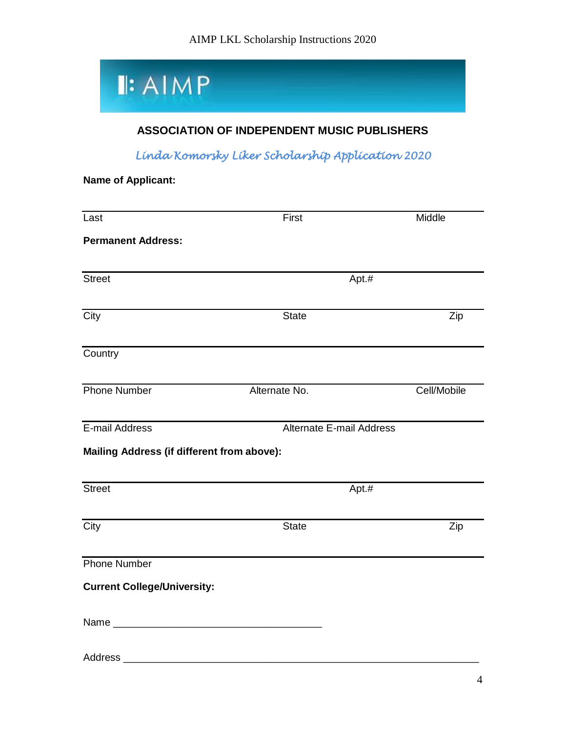

## **ASSOCIATION OF INDEPENDENT MUSIC PUBLISHERS**

*Linda Komorsky Liker Scholarship Application 2020*

**Name of Applicant:**

| Last                                       | First                           | Middle      |
|--------------------------------------------|---------------------------------|-------------|
| <b>Permanent Address:</b>                  |                                 |             |
| Street                                     | Apt.#                           |             |
| City                                       | <b>State</b>                    | Zip         |
|                                            |                                 |             |
| Country                                    |                                 |             |
| <b>Phone Number</b>                        | Alternate No.                   | Cell/Mobile |
| E-mail Address                             | <b>Alternate E-mail Address</b> |             |
| Mailing Address (if different from above): |                                 |             |
| <b>Street</b>                              | Apt.#                           |             |
| City                                       | <b>State</b>                    | Zip         |
| <b>Phone Number</b>                        |                                 |             |
| <b>Current College/University:</b>         |                                 |             |
|                                            |                                 |             |
| Address                                    |                                 |             |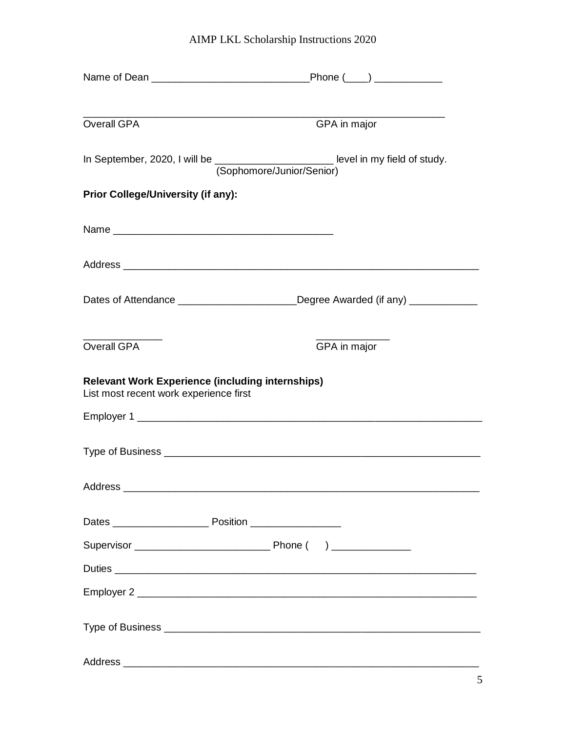# AIMP LKL Scholarship Instructions 2020

| Overall GPA                                                                                       | GPA in major                                                                                                      |  |
|---------------------------------------------------------------------------------------------------|-------------------------------------------------------------------------------------------------------------------|--|
|                                                                                                   | In September, 2020, I will be __________________________ level in my field of study.<br>(Sophomore/Junior/Senior) |  |
| <b>Prior College/University (if any):</b>                                                         |                                                                                                                   |  |
|                                                                                                   |                                                                                                                   |  |
|                                                                                                   |                                                                                                                   |  |
|                                                                                                   | Dates of Attendance _________________________Degree Awarded (if any) ___________                                  |  |
| <b>Overall GPA</b>                                                                                | GPA in major                                                                                                      |  |
| <b>Relevant Work Experience (including internships)</b><br>List most recent work experience first |                                                                                                                   |  |
|                                                                                                   |                                                                                                                   |  |
|                                                                                                   |                                                                                                                   |  |
|                                                                                                   |                                                                                                                   |  |
|                                                                                                   |                                                                                                                   |  |
|                                                                                                   |                                                                                                                   |  |
|                                                                                                   |                                                                                                                   |  |
|                                                                                                   |                                                                                                                   |  |
|                                                                                                   |                                                                                                                   |  |
|                                                                                                   |                                                                                                                   |  |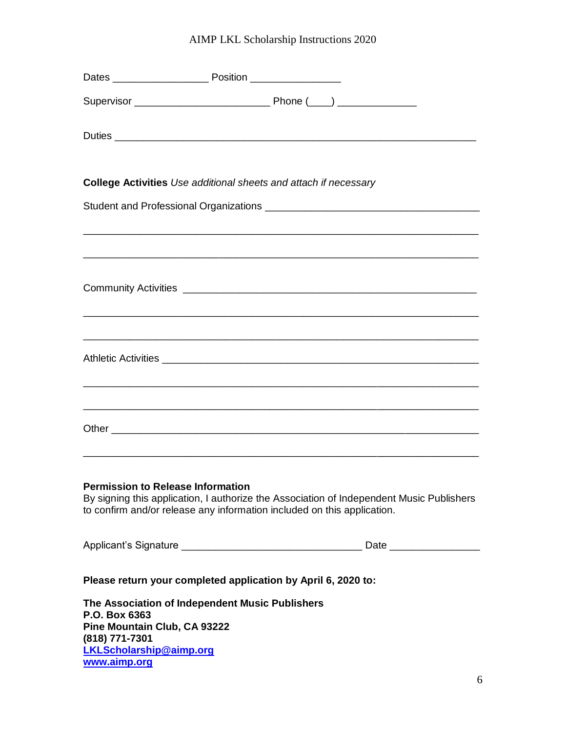# AIMP LKL Scholarship Instructions 2020

| <b>College Activities</b> Use additional sheets and attach if necessary                                                                              |  |                                                                                                                       |
|------------------------------------------------------------------------------------------------------------------------------------------------------|--|-----------------------------------------------------------------------------------------------------------------------|
|                                                                                                                                                      |  |                                                                                                                       |
|                                                                                                                                                      |  | <u> 1989 - Johann Stoff, deutscher Stoff, der Stoff, der Stoff, der Stoff, der Stoff, der Stoff, der Stoff, der S</u> |
|                                                                                                                                                      |  |                                                                                                                       |
|                                                                                                                                                      |  | <u> 1990 - Johann Stoff, amerikan bestein de stad in de stad in de stad in de stad in de stad in de stad in de st</u> |
|                                                                                                                                                      |  |                                                                                                                       |
| <b>Permission to Release Information</b><br>to confirm and/or release any information included on this application.                                  |  | By signing this application, I authorize the Association of Independent Music Publishers                              |
|                                                                                                                                                      |  |                                                                                                                       |
| Please return your completed application by April 6, 2020 to:                                                                                        |  |                                                                                                                       |
| The Association of Independent Music Publishers<br>P.O. Box 6363<br>Pine Mountain Club, CA 93222<br>(818) 771-7301<br><b>LKLScholarship@aimp.org</b> |  |                                                                                                                       |

**[www.aimp.org](http://www.aimp.org/)**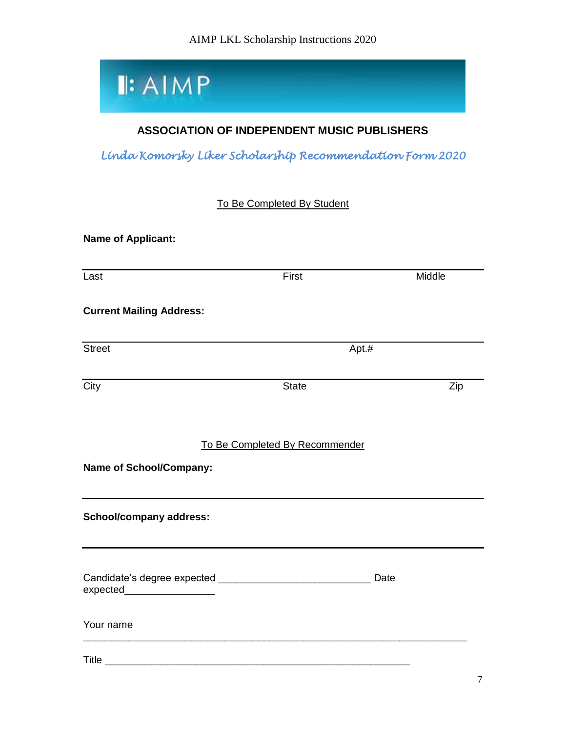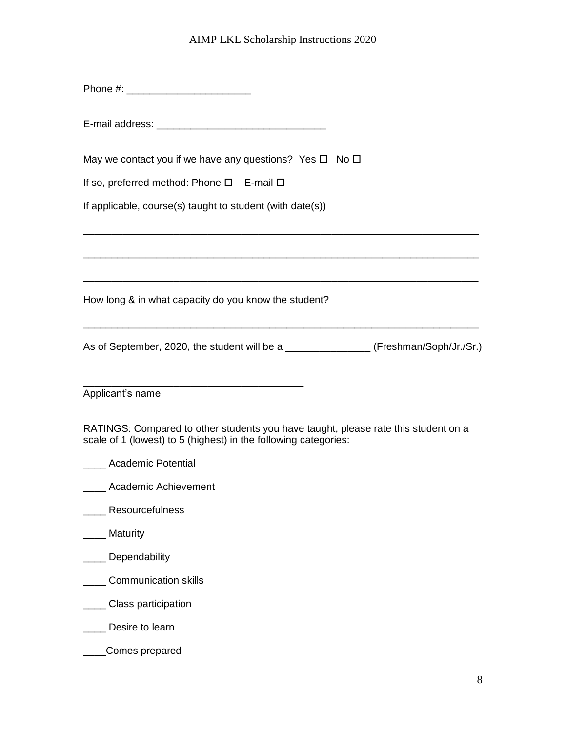Phone #: \_\_\_\_\_\_\_\_\_\_\_\_\_\_\_\_\_\_\_\_\_\_

E-mail address: \_\_\_\_\_\_\_\_\_\_\_\_\_\_\_\_\_\_\_\_\_\_\_\_\_\_\_\_\_\_

May we contact you if we have any questions? Yes  $\Box$  No  $\Box$ 

If so, preferred method: Phone  $\square$  E-mail  $\square$ 

If applicable, course(s) taught to student (with date(s))

How long & in what capacity do you know the student?

As of September, 2020, the student will be a \_\_\_\_\_\_\_\_\_\_\_\_\_\_\_\_\_\_ (Freshman/Soph/Jr./Sr.)

\_\_\_\_\_\_\_\_\_\_\_\_\_\_\_\_\_\_\_\_\_\_\_\_\_\_\_\_\_\_\_\_\_\_\_\_\_\_\_\_\_\_\_\_\_\_\_\_\_\_\_\_\_\_\_\_\_\_\_\_\_\_\_\_\_\_\_\_\_\_

\_\_\_\_\_\_\_\_\_\_\_\_\_\_\_\_\_\_\_\_\_\_\_\_\_\_\_\_\_\_\_\_\_\_\_\_\_\_\_\_\_\_\_\_\_\_\_\_\_\_\_\_\_\_\_\_\_\_\_\_\_\_\_\_\_\_\_\_\_\_

\_\_\_\_\_\_\_\_\_\_\_\_\_\_\_\_\_\_\_\_\_\_\_\_\_\_\_\_\_\_\_\_\_\_\_\_\_\_\_\_\_\_\_\_\_\_\_\_\_\_\_\_\_\_\_\_\_\_\_\_\_\_\_\_\_\_\_\_\_\_

\_\_\_\_\_\_\_\_\_\_\_\_\_\_\_\_\_\_\_\_\_\_\_\_\_\_\_\_\_\_\_\_\_\_\_\_\_\_\_\_\_\_\_\_\_\_\_\_\_\_\_\_\_\_\_\_\_\_\_\_\_\_\_\_\_\_\_\_\_\_

\_\_\_\_\_\_\_\_\_\_\_\_\_\_\_\_\_\_\_\_\_\_\_\_\_\_\_\_\_\_\_\_\_\_\_\_\_\_\_ Applicant's name

RATINGS: Compared to other students you have taught, please rate this student on a scale of 1 (lowest) to 5 (highest) in the following categories:

- \_\_\_\_ Academic Potential
- **\_\_\_\_\_** Academic Achievement
- \_\_\_\_ Resourcefulness
- \_\_\_\_ Maturity
- \_\_\_\_ Dependability
- \_\_\_\_ Communication skills
- **\_\_\_\_\_ Class participation**
- \_\_\_\_ Desire to learn
- \_\_\_\_Comes prepared